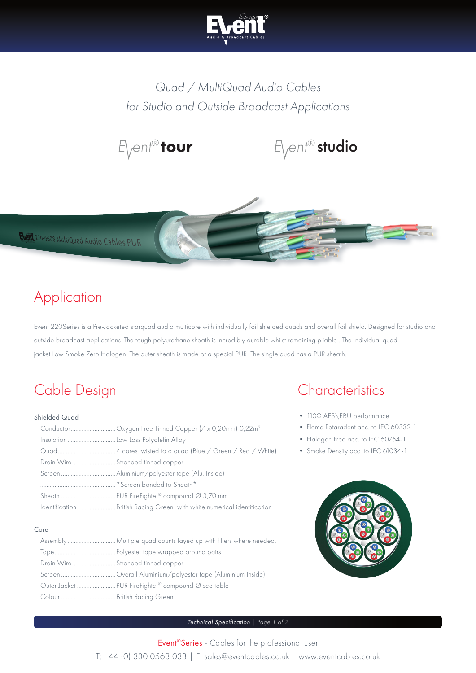

*Quad / MultiQuad Audio Cables for Studio and Outside Broadcast Applications*







## Application

Event 220Series is a Pre-Jacketed starquad audio multicore with individually foil shielded quads and overall foil shield. Designed for studio and outside broadcast applications .The tough polyurethane sheath is incredibly durable whilst remaining pliable . The Individual quad jacket Low Smoke Zero Halogen. The outer sheath is made of a special PUR. The single quad has a PUR sheath.

# Cable Design

### Shielded Quad

| Insulation Low Loss Polyolefin Alloy |
|--------------------------------------|
|                                      |
| Drain Wire Stranded tinned copper    |
|                                      |
| "Screen bonded to Sheath"            |
|                                      |
|                                      |

#### Core

|                                   | Assembly Multiple quad counts layed up with fillers where needed. |
|-----------------------------------|-------------------------------------------------------------------|
|                                   |                                                                   |
| Drain Wire Stranded tinned copper |                                                                   |
|                                   |                                                                   |
|                                   |                                                                   |
|                                   |                                                                   |

## **Characteristics**

- 110Ω AES\EBU performance
- Flame Retaradent acc. to IEC 60332-1
- Halogen Free acc. to IEC 60754-1
- Smoke Density acc. to IEC 61034-1



### *Technical Specification | Page 1 of 2*

Event®Series - Cables for the professional user T: +44 (0) 330 0563 033 | E: sales@eventcables.co.uk | www.eventcables.co.uk